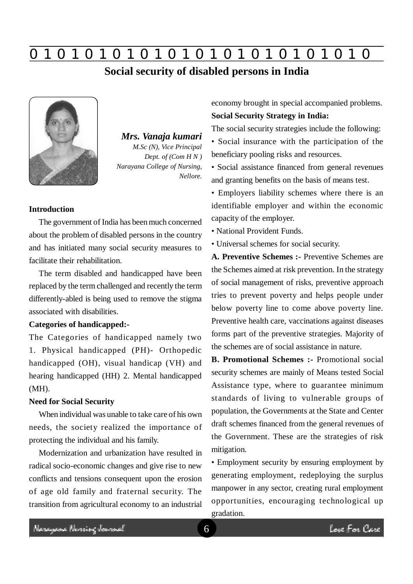# **0 z 0 z 0 z 0 z 0 z 0 z 0 z 0 z 0 z 0 z 0 z 0 z 0**

## **Social security of disabled persons in India**



*Mrs. Vanaja kumari M.Sc (N), Vice Principal Dept. of (Com H N ) Narayana College of Nursing, Nellore.*

#### **Introduction**

The government of India has been much concerned about the problem of disabled persons in the country and has initiated many social security measures to facilitate their rehabilitation.

The term disabled and handicapped have been replaced by the term challenged and recently the term differently-abled is being used to remove the stigma associated with disabilities.

### **Categories of handicapped:-**

The Categories of handicapped namely two 1. Physical handicapped (PH)- Orthopedic handicapped (OH), visual handicap (VH) and hearing handicapped (HH) 2. Mental handicapped (MH).

#### **Need for Social Security**

When individual was unable to take care of his own needs, the society realized the importance of protecting the individual and his family.

Modernization and urbanization have resulted in radical socio-economic changes and give rise to new conflicts and tensions consequent upon the erosion of age old family and fraternal security. The transition from agricultural economy to an industrial economy brought in special accompanied problems. **Social Security Strategy in India:**

The social security strategies include the following:

• Social insurance with the participation of the beneficiary pooling risks and resources.

• Social assistance financed from general revenues and granting benefits on the basis of means test.

• Employers liability schemes where there is an identifiable employer and within the economic capacity of the employer.

• National Provident Funds.

• Universal schemes for social security.

**A. Preventive Schemes :-** Preventive Schemes are the Schemes aimed at risk prevention. In the strategy of social management of risks, preventive approach tries to prevent poverty and helps people under below poverty line to come above poverty line. Preventive health care, vaccinations against diseases forms part of the preventive strategies. Majority of the schemes are of social assistance in nature.

**B. Promotional Schemes :-** Promotional social security schemes are mainly of Means tested Social Assistance type, where to guarantee minimum standards of living to vulnerable groups of population, the Governments at the State and Center draft schemes financed from the general revenues of the Government. These are the strategies of risk mitigation.

• Employment security by ensuring employment by generating employment, redeploying the surplus manpower in any sector, creating rural employment opportunities, encouraging technological up gradation.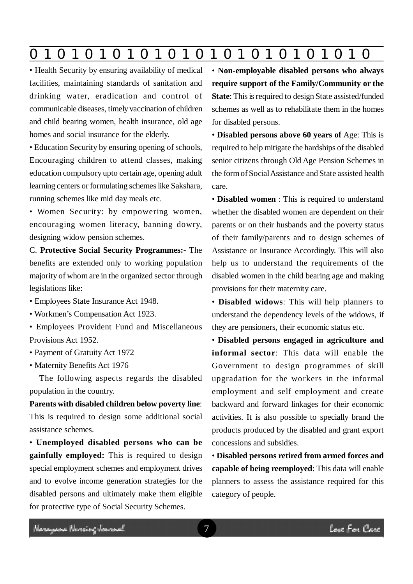**0 z 0 z 0 z 0 z 0 z 0 z 0 z 0 z 0 z 0 z 0 z 0 z 0**

• Health Security by ensuring availability of medical facilities, maintaining standards of sanitation and drinking water, eradication and control of communicable diseases, timely vaccination of children and child bearing women, health insurance, old age homes and social insurance for the elderly.

• Education Security by ensuring opening of schools, Encouraging children to attend classes, making education compulsory upto certain age, opening adult learning centers or formulating schemes like Sakshara, running schemes like mid day meals etc.

• Women Security: by empowering women, encouraging women literacy, banning dowry, designing widow pension schemes.

C. **Protective Social Security Programmes:-** The benefits are extended only to working population majority of whom are in the organized sector through legislations like:

- Employees State Insurance Act 1948.
- Workmen's Compensation Act 1923.
- Employees Provident Fund and Miscellaneous Provisions Act 1952.
- Payment of Gratuity Act 1972
- Maternity Benefits Act 1976

The following aspects regards the disabled population in the country.

**Parents with disabled children below poverty line**: This is required to design some additional social assistance schemes.

• **Unemployed disabled persons who can be gainfully employed:** This is required to design special employment schemes and employment drives and to evolve income generation strategies for the disabled persons and ultimately make them eligible for protective type of Social Security Schemes.

• **Non-employable disabled persons who always require support of the Family/Community or the State**: This is required to design State assisted/funded schemes as well as to rehabilitate them in the homes for disabled persons.

• **Disabled persons above 60 years of** Age: This is required to help mitigate the hardships of the disabled senior citizens through Old Age Pension Schemes in the form of Social Assistance and State assisted health care.

• **Disabled women** : This is required to understand whether the disabled women are dependent on their parents or on their husbands and the poverty status of their family/parents and to design schemes of Assistance or Insurance Accordingly. This will also help us to understand the requirements of the disabled women in the child bearing age and making provisions for their maternity care.

• **Disabled widows**: This will help planners to understand the dependency levels of the widows, if they are pensioners, their economic status etc.

• **Disabled persons engaged in agriculture and informal sector**: This data will enable the Government to design programmes of skill upgradation for the workers in the informal employment and self employment and create backward and forward linkages for their economic activities. It is also possible to specially brand the products produced by the disabled and grant export concessions and subsidies.

• **Disabled persons retired from armed forces and capable of being reemployed**: This data will enable planners to assess the assistance required for this category of people.